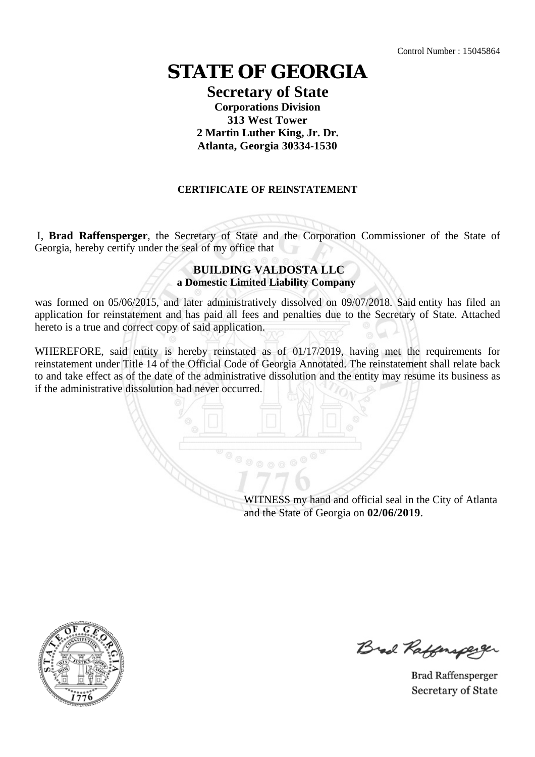# **STATE OF GEORGIA**

### **Secretary of State Corporations Division 313 West Tower 2 Martin Luther King, Jr. Dr. Atlanta, Georgia 30334-1530**

### **CERTIFICATE OF REINSTATEMENT**

I, **Brad Raffensperger**, the Secretary of State and the Corporation Commissioner of the State of Georgia, hereby certify under the seal of my office that

#### **BUILDING VALDOSTA LLC a Domestic Limited Liability Company**

was formed on 05/06/2015, and later administratively dissolved on 09/07/2018. Said entity has filed an application for reinstatement and has paid all fees and penalties due to the Secretary of State. Attached hereto is a true and correct copy of said application.

WHEREFORE, said entity is hereby reinstated as of 01/17/2019, having met the requirements for reinstatement under Title 14 of the Official Code of Georgia Annotated. The reinstatement shall relate back to and take effect as of the date of the administrative dissolution and the entity may resume its business as if the administrative dissolution had never occurred.

> WITNESS my hand and official seal in the City of Atlanta and the State of Georgia on **02/06/2019**.



Brad Raffenaperger

**Brad Raffensperger** Secretary of State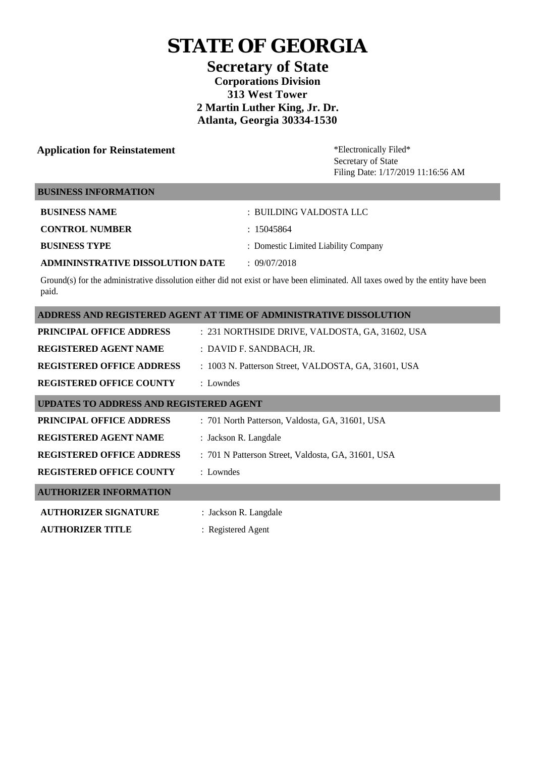# **STATE OF GEORGIA**

**Secretary of State Corporations Division 313 West Tower 2 Martin Luther King, Jr. Dr. Atlanta, Georgia 30334-1530** 

## **Application for Reinstatement \*Electronically Filed\***

Secretary of State Filing Date: 1/17/2019 11:16:56 AM

#### **BUSINESS INFORMATION**

| <b>BUSINESS NAME</b>             | : BUILDING VALDOSTA LLC              |
|----------------------------------|--------------------------------------|
| <b>CONTROL NUMBER</b>            | : 15045864                           |
| <b>BUSINESS TYPE</b>             | : Domestic Limited Liability Company |
| ADMININSTRATIVE DISSOLUTION DATE | $\pm$ 09/07/2018                     |

Ground(s) for the administrative dissolution either did not exist or have been eliminated. All taxes owed by the entity have been paid.

| ADDRESS AND REGISTERED AGENT AT TIME OF ADMINISTRATIVE DISSOLUTION |                                                      |  |
|--------------------------------------------------------------------|------------------------------------------------------|--|
| <b>PRINCIPAL OFFICE ADDRESS</b>                                    | : 231 NORTHSIDE DRIVE, VALDOSTA, GA, 31602, USA      |  |
| <b>REGISTERED AGENT NAME</b>                                       | : DAVID F. SANDBACH, JR.                             |  |
| <b>REGISTERED OFFICE ADDRESS</b>                                   | : 1003 N. Patterson Street, VALDOSTA, GA, 31601, USA |  |
| <b>REGISTERED OFFICE COUNTY</b>                                    | : Lowndes                                            |  |
| <b>UPDATES TO ADDRESS AND REGISTERED AGENT</b>                     |                                                      |  |
| <b>PRINCIPAL OFFICE ADDRESS</b>                                    | : 701 North Patterson, Valdosta, GA, 31601, USA      |  |
| <b>REGISTERED AGENT NAME</b>                                       | : Jackson R. Langdale                                |  |
| <b>REGISTERED OFFICE ADDRESS</b>                                   | : 701 N Patterson Street, Valdosta, GA, 31601, USA   |  |
| <b>REGISTERED OFFICE COUNTY</b>                                    | : Lowndes                                            |  |
| <b>AUTHORIZER INFORMATION</b>                                      |                                                      |  |
| <b>AUTHORIZER SIGNATURE</b>                                        | : Jackson R. Langdale                                |  |
| <b>AUTHORIZER TITLE</b>                                            | : Registered Agent                                   |  |